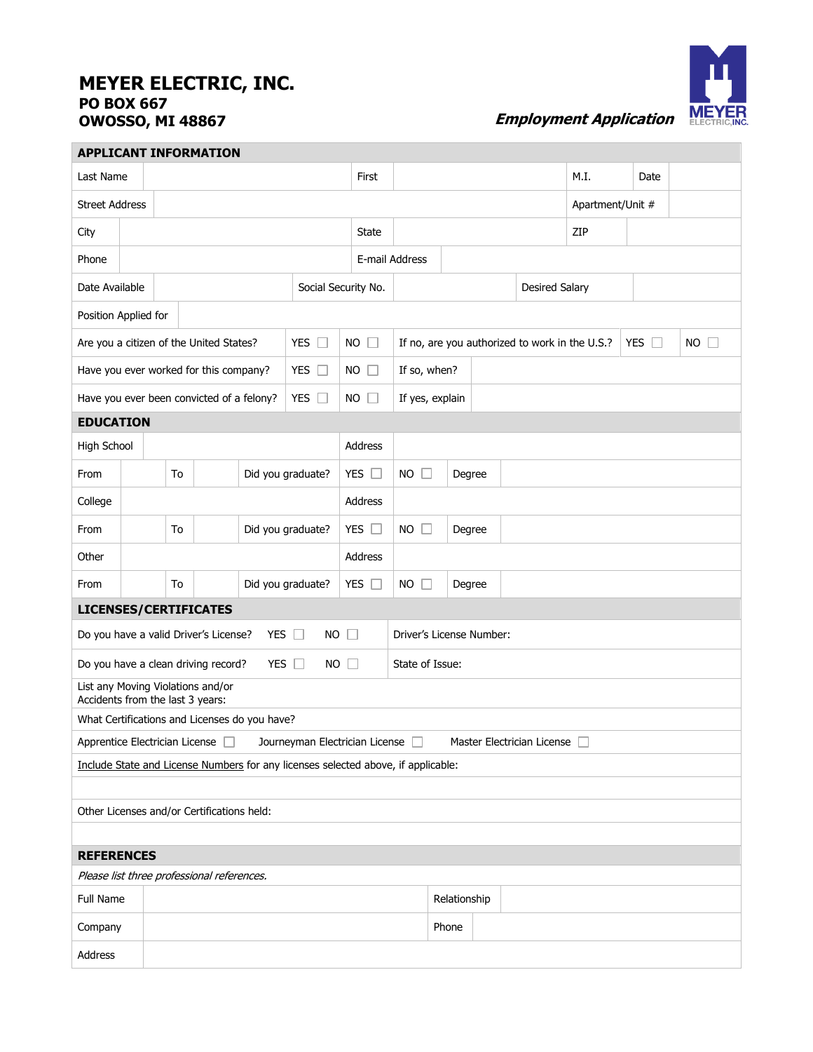## **MEYER ELECTRIC, INC. PO BOX 667**



*Employment Application* **MEYER** 

| <b>APPLICANT INFORMATION</b>                                                                                                                    |              |                         |  |               |                         |             |                       |                                                |        |  |     |                  |            |           |
|-------------------------------------------------------------------------------------------------------------------------------------------------|--------------|-------------------------|--|---------------|-------------------------|-------------|-----------------------|------------------------------------------------|--------|--|-----|------------------|------------|-----------|
| Last Name                                                                                                                                       |              |                         |  |               |                         |             | First                 |                                                |        |  |     | M.I.             | Date       |           |
| <b>Street Address</b>                                                                                                                           |              |                         |  |               |                         |             |                       |                                                |        |  |     | Apartment/Unit # |            |           |
| City                                                                                                                                            |              |                         |  |               |                         | State       |                       |                                                |        |  | ZIP |                  |            |           |
| Phone                                                                                                                                           |              |                         |  |               |                         |             |                       | E-mail Address                                 |        |  |     |                  |            |           |
| Date Available<br>Social Security No.                                                                                                           |              |                         |  |               |                         |             | <b>Desired Salary</b> |                                                |        |  |     |                  |            |           |
| Position Applied for                                                                                                                            |              |                         |  |               |                         |             |                       |                                                |        |  |     |                  |            |           |
| Are you a citizen of the United States?<br>YES $\Box$<br><b>NO</b>                                                                              |              |                         |  |               |                         |             |                       | If no, are you authorized to work in the U.S.? |        |  |     |                  | YES $\Box$ | <b>NO</b> |
| Have you ever worked for this company?<br>YES $\Box$                                                                                            |              |                         |  |               | NO                      | TΠ          | If so, when?          |                                                |        |  |     |                  |            |           |
| YES $\Box$<br>Have you ever been convicted of a felony?                                                                                         |              |                         |  |               |                         | NO          |                       | If yes, explain                                |        |  |     |                  |            |           |
| <b>EDUCATION</b>                                                                                                                                |              |                         |  |               |                         |             |                       |                                                |        |  |     |                  |            |           |
| High School                                                                                                                                     |              |                         |  |               |                         | Address     |                       |                                                |        |  |     |                  |            |           |
| From                                                                                                                                            |              | To                      |  |               | Did you graduate?       | YES $\Box$  |                       | $NO$ $\Box$                                    | Degree |  |     |                  |            |           |
| College                                                                                                                                         |              |                         |  |               |                         | Address     |                       |                                                |        |  |     |                  |            |           |
| From                                                                                                                                            |              | To<br>Did you graduate? |  | YES $\square$ |                         | $NO$ $\Box$ | Degree                |                                                |        |  |     |                  |            |           |
| Other                                                                                                                                           |              |                         |  |               |                         | Address     |                       |                                                |        |  |     |                  |            |           |
| From                                                                                                                                            |              | To                      |  |               | Did you graduate?       | YES         |                       | NO.<br>$\mathbf{L}$                            | Degree |  |     |                  |            |           |
| <b>LICENSES/CERTIFICATES</b>                                                                                                                    |              |                         |  |               |                         |             |                       |                                                |        |  |     |                  |            |           |
| Do you have a valid Driver's License?                                                                                                           |              |                         |  |               | YES $\Box$<br><b>NO</b> | $\Box$      |                       | Driver's License Number:                       |        |  |     |                  |            |           |
| Do you have a clean driving record?<br><b>YES</b><br>$\Box$<br>$\Box$<br>State of Issue:<br>NO.                                                 |              |                         |  |               |                         |             |                       |                                                |        |  |     |                  |            |           |
| List any Moving Violations and/or<br>Accidents from the last 3 years:                                                                           |              |                         |  |               |                         |             |                       |                                                |        |  |     |                  |            |           |
|                                                                                                                                                 |              |                         |  |               |                         |             |                       |                                                |        |  |     |                  |            |           |
| What Certifications and Licenses do you have?<br>Apprentice Electrician License<br>Journeyman Electrician License<br>Master Electrician License |              |                         |  |               |                         |             |                       |                                                |        |  |     |                  |            |           |
| Include State and License Numbers for any licenses selected above, if applicable:                                                               |              |                         |  |               |                         |             |                       |                                                |        |  |     |                  |            |           |
|                                                                                                                                                 |              |                         |  |               |                         |             |                       |                                                |        |  |     |                  |            |           |
| Other Licenses and/or Certifications held:                                                                                                      |              |                         |  |               |                         |             |                       |                                                |        |  |     |                  |            |           |
|                                                                                                                                                 |              |                         |  |               |                         |             |                       |                                                |        |  |     |                  |            |           |
| <b>REFERENCES</b>                                                                                                                               |              |                         |  |               |                         |             |                       |                                                |        |  |     |                  |            |           |
| Please list three professional references.                                                                                                      |              |                         |  |               |                         |             |                       |                                                |        |  |     |                  |            |           |
| Full Name                                                                                                                                       | Relationship |                         |  |               |                         |             |                       |                                                |        |  |     |                  |            |           |
| Company                                                                                                                                         |              | Phone                   |  |               |                         |             |                       |                                                |        |  |     |                  |            |           |
| Address                                                                                                                                         |              |                         |  |               |                         |             |                       |                                                |        |  |     |                  |            |           |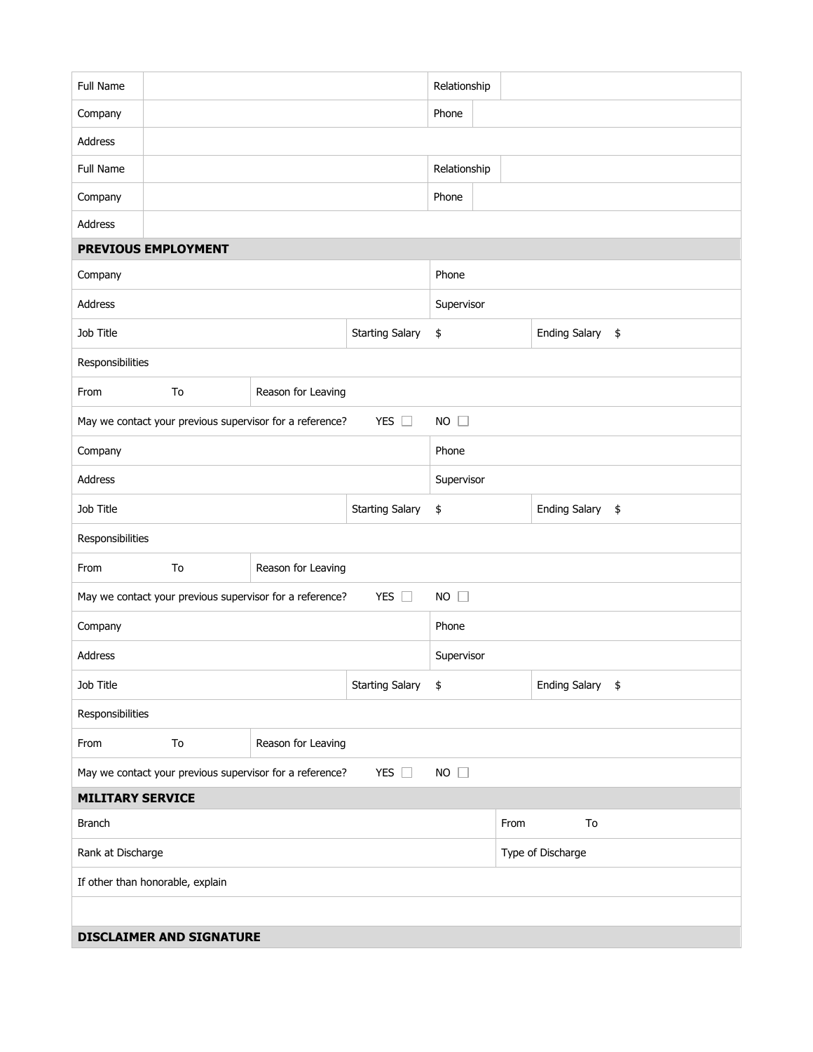| <b>Full Name</b>                 |                                                                                          |                        |                        | Relationship         |  |                  |                  |  |  |  |  |  |
|----------------------------------|------------------------------------------------------------------------------------------|------------------------|------------------------|----------------------|--|------------------|------------------|--|--|--|--|--|
| Company                          |                                                                                          |                        |                        | Phone                |  |                  |                  |  |  |  |  |  |
| Address                          |                                                                                          |                        |                        |                      |  |                  |                  |  |  |  |  |  |
| Full Name                        |                                                                                          |                        |                        | Relationship         |  |                  |                  |  |  |  |  |  |
| Company                          |                                                                                          |                        |                        | Phone                |  |                  |                  |  |  |  |  |  |
| Address                          |                                                                                          |                        |                        |                      |  |                  |                  |  |  |  |  |  |
|                                  | PREVIOUS EMPLOYMENT                                                                      |                        |                        |                      |  |                  |                  |  |  |  |  |  |
| Company                          |                                                                                          |                        | Phone                  |                      |  |                  |                  |  |  |  |  |  |
| Address                          |                                                                                          |                        | Supervisor             |                      |  |                  |                  |  |  |  |  |  |
| Job Title                        |                                                                                          |                        | <b>Starting Salary</b> | \$                   |  |                  | Ending Salary \$ |  |  |  |  |  |
| Responsibilities                 |                                                                                          |                        |                        |                      |  |                  |                  |  |  |  |  |  |
| From                             | To<br>Reason for Leaving                                                                 |                        |                        |                      |  |                  |                  |  |  |  |  |  |
|                                  | YES $\square$<br>$NO$ $\Box$<br>May we contact your previous supervisor for a reference? |                        |                        |                      |  |                  |                  |  |  |  |  |  |
| Company                          |                                                                                          |                        |                        |                      |  |                  | Phone            |  |  |  |  |  |
| Address                          |                                                                                          |                        | Supervisor             |                      |  |                  |                  |  |  |  |  |  |
| Job Title                        |                                                                                          |                        | \$                     | <b>Ending Salary</b> |  |                  | \$               |  |  |  |  |  |
| Responsibilities                 |                                                                                          |                        |                        |                      |  |                  |                  |  |  |  |  |  |
| From                             | To<br>Reason for Leaving                                                                 |                        |                        |                      |  |                  |                  |  |  |  |  |  |
|                                  | May we contact your previous supervisor for a reference?                                 |                        | YES $\square$          | NO                   |  |                  |                  |  |  |  |  |  |
| Company                          |                                                                                          |                        | Phone                  |                      |  |                  |                  |  |  |  |  |  |
| Address                          |                                                                                          |                        |                        | Supervisor           |  |                  |                  |  |  |  |  |  |
| Job Title                        |                                                                                          | <b>Starting Salary</b> | $\frac{1}{2}$          |                      |  | Ending Salary \$ |                  |  |  |  |  |  |
| Responsibilities                 |                                                                                          |                        |                        |                      |  |                  |                  |  |  |  |  |  |
| From                             | To                                                                                       | Reason for Leaving     |                        |                      |  |                  |                  |  |  |  |  |  |
|                                  | May we contact your previous supervisor for a reference?                                 |                        | YES $\square$          | $NO$ $\Box$          |  |                  |                  |  |  |  |  |  |
| <b>MILITARY SERVICE</b>          |                                                                                          |                        |                        |                      |  |                  |                  |  |  |  |  |  |
| <b>Branch</b>                    |                                                                                          | From                   |                        | To                   |  |                  |                  |  |  |  |  |  |
| Rank at Discharge                |                                                                                          | Type of Discharge      |                        |                      |  |                  |                  |  |  |  |  |  |
| If other than honorable, explain |                                                                                          |                        |                        |                      |  |                  |                  |  |  |  |  |  |
|                                  |                                                                                          |                        |                        |                      |  |                  |                  |  |  |  |  |  |
| <b>DISCLAIMER AND SIGNATURE</b>  |                                                                                          |                        |                        |                      |  |                  |                  |  |  |  |  |  |